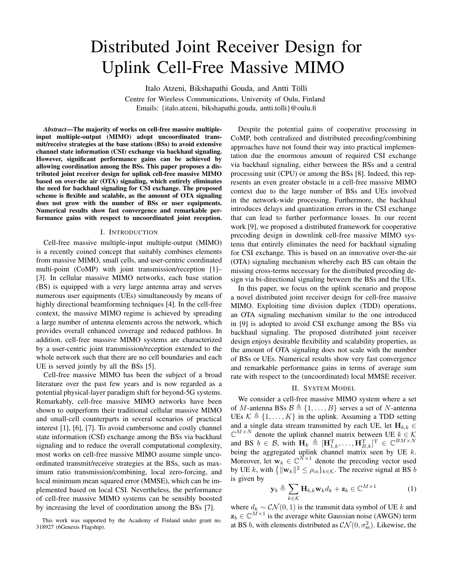# Distributed Joint Receiver Design for Uplink Cell-Free Massive MIMO

Italo Atzeni, Bikshapathi Gouda, and Antti Tölli

Centre for Wireless Communications, University of Oulu, Finland Emails: {italo.atzeni, bikshapathi.gouda, antti.tolli}@oulu.fi

*Abstract*—The majority of works on cell-free massive multipleinput multiple-output (MIMO) adopt uncoordinated transmit/receive strategies at the base stations (BSs) to avoid extensive channel state information (CSI) exchange via backhaul signaling. However, significant performance gains can be achieved by allowing coordination among the BSs. This paper proposes a distributed joint receiver design for uplink cell-free massive MIMO based on over-the air (OTA) signaling, which entirely eliminates the need for backhaul signaling for CSI exchange. The proposed scheme is flexible and scalable, as the amount of OTA signaling does not grow with the number of BSs or user equipments. Numerical results show fast convergence and remarkable performance gains with respect to uncoordinated joint reception.

## I. INTRODUCTION

Cell-free massive multiple-input multiple-output (MIMO) is a recently coined concept that suitably combines elements from massive MIMO, small cells, and user-centric coordinated multi-point (CoMP) with joint transmission/reception [1]– [3]. In cellular massive MIMO networks, each base station (BS) is equipped with a very large antenna array and serves numerous user equipments (UEs) simultaneously by means of highly directional beamforming techniques [4]. In the cell-free context, the massive MIMO regime is achieved by spreading a large number of antenna elements across the network, which provides overall enhanced coverage and reduced pathloss. In addition, cell-free massive MIMO systems are characterized by a user-centric joint transmission/reception extended to the whole network such that there are no cell boundaries and each UE is served jointly by all the BSs [5].

Cell-free massive MIMO has been the subject of a broad literature over the past few years and is now regarded as a potential physical-layer paradigm shift for beyond-5G systems. Remarkably, cell-free massive MIMO networks have been shown to outperform their traditional cellular massive MIMO and small-cell counterparts in several scenarios of practical interest [1], [6], [7]. To avoid cumbersome and costly channel state information (CSI) exchange among the BSs via backhaul signaling and to reduce the overall computational complexity, most works on cell-free massive MIMO assume simple uncoordinated transmit/receive strategies at the BSs, such as maximum ratio transmission/combining, local zero-forcing, and local minimum mean squared error (MMSE), which can be implemented based on local CSI. Nevertheless, the performance of cell-free massive MIMO systems can be sensibly boosted by increasing the level of coordination among the BSs [7].

Despite the potential gains of cooperative processing in CoMP, both centralized and distributed precoding/combining approaches have not found their way into practical implementation due the enormous amount of required CSI exchange via backhaul signaling, either between the BSs and a central processing unit (CPU) or among the BSs [8]. Indeed, this represents an even greater obstacle in a cell-free massive MIMO context due to the large number of BSs and UEs involved in the network-wide processing. Furthermore, the backhaul introduces delays and quantization errors in the CSI exchange that can lead to further performance losses. In our recent work [9], we proposed a distributed framework for cooperative precoding design in downlink cell-free massive MIMO systems that entirely eliminates the need for backhaul signaling for CSI exchange. This is based on an innovative over-the-air (OTA) signaling mechanism whereby each BS can obtain the missing cross-terms necessary for the distributed precoding design via bi-directional signaling between the BSs and the UEs.

In this paper, we focus on the uplink scenario and propose a novel distributed joint receiver design for cell-free massive MIMO. Exploiting time division duplex (TDD) operations, an OTA signaling mechanism similar to the one introduced in [9] is adopted to avoid CSI exchange among the BSs via backhaul signaling. The proposed distributed joint receiver design enjoys desirable flexibility and scalability properties, as the amount of OTA signaling does not scale with the number of BSs or UEs. Numerical results show very fast convergence and remarkable performance gains in terms of average sum rate with respect to the (uncoordinated) local MMSE receiver.

## II. SYSTEM MODEL

We consider a cell-free massive MIMO system where a set of *M*-antenna BSs  $\mathcal{B} \triangleq \{1, \ldots, B\}$  serves a set of *N*-antenna UEs  $K \triangleq \{1, \ldots, K\}$  in the uplink. Assuming a TDD setting and a single data stream transmitted by each UE, let  $\mathbf{H}_{b,k}$   $\in$  $\mathbb{C}^{M \times N}$  denote the uplink channel matrix between UE  $k \in \mathcal{K}$ and BS  $b \in \mathcal{B}$ , with  $\mathbf{H}_k \triangleq [\mathbf{H}_{1,k}^{\mathrm{T}}, \dots, \mathbf{H}_{B,k}^{\mathrm{T}}]^{\mathrm{T}} \in \mathbb{C}^{BM \times N}$ being the aggregated uplink channel matrix seen by UE *k*. Moreover, let  $\mathbf{w}_k \in \mathbb{C}^{N \times 1}$  denote the precoding vector used by UE *k*, with  $\{\|\mathbf{w}_k\|^2 \leq \rho_{\text{UE}}\}_{k \in \mathcal{K}}$ . The receive signal at BS *b* is given by

$$
\mathbf{y}_b \triangleq \sum_{k \in \mathcal{K}} \mathbf{H}_{b,k} \mathbf{w}_k d_k + \mathbf{z}_b \in \mathbb{C}^{M \times 1}
$$
 (1)

where  $d_k \sim \mathcal{CN}(0, 1)$  is the transmit data symbol of UE *k* and  $z_b \in \mathbb{C}^{M \times 1}$  is the average white Gaussian noise (AWGN) term at BS *b*, with elements distributed as  $\mathcal{CN}(0, \sigma_{\text{\tiny BS}}^2)$ . Likewise, the

This work was supported by the Academy of Finland under grant no. 318927 (6Genesis Flagship).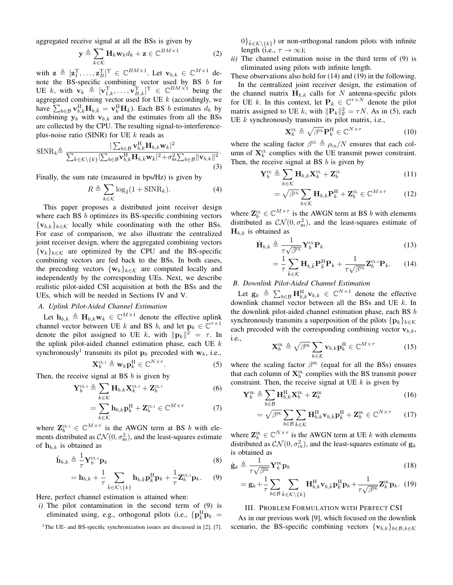aggregated receive signal at all the BSs is given by

$$
\mathbf{y} \triangleq \sum_{k \in \mathcal{K}} \mathbf{H}_k \mathbf{w}_k d_k + \mathbf{z} \in \mathbb{C}^{BM \times 1}
$$
 (2)

with  $\mathbf{z} \triangleq [\mathbf{z}_1^{\mathrm{T}}, \dots, \mathbf{z}_B^{\mathrm{T}}]^{\mathrm{T}} \in \mathbb{C}^{BM \times 1}$ . Let  $\mathbf{v}_{b,k} \in \mathbb{C}^{M \times 1}$  denote the BS-specific combining vector used by BS *b* for UE k, with  $\mathbf{v}_k \triangleq [\mathbf{v}_{1,k}^{\mathrm{T}}, \dots, \mathbf{v}_{B,k}^{\mathrm{T}}]^{\mathrm{T}} \in \mathbb{C}^{BM \times 1}$  being the aggregated combining vector used for UE *k* (accordingly, we have  $\sum_{b \in \mathcal{B}} \mathbf{v}_{b,k}^{\text{H}} \mathbf{H}_{b,\bar{k}} = \mathbf{v}_{k}^{\text{H}} \mathbf{H}_{\bar{k}}$ . Each BS *b* estimates  $d_k$  by combining  $y_b$  with  $v_{b,k}$  and the estimates from all the BSs are collected by the CPU. The resulting signal-to-interferenceplus-noise ratio (SINR) for UE *k* reads as

$$
\text{SINR}_{k} \triangleq \frac{|\sum_{b \in \mathcal{B}} \mathbf{v}_{b,k}^{\text{H}} \mathbf{H}_{b,k} \mathbf{w}_{k}|^{2}}{\sum_{\bar{k} \in \mathcal{K} \setminus \{k\}} |\sum_{b \in \mathcal{B}} \mathbf{v}_{b,k}^{\text{H}} \mathbf{H}_{b,\bar{k}} \mathbf{w}_{\bar{k}}|^{2} + \sigma_{\text{BS}}^{2} \sum_{b \in \mathcal{B}} ||\mathbf{v}_{b,k}||^{2}}.
$$
\n(3)

Finally, the sum rate (measured in bps/Hz) is given by

$$
R \triangleq \sum_{k \in \mathcal{K}} \log_2(1 + \text{SINR}_k). \tag{4}
$$

This paper proposes a distributed joint receiver design where each BS *b* optimizes its BS-specific combining vectors  ${ {\bf v}_{b,k} }_{k \in K}$  locally while coordinating with the other BSs. For ease of comparison, we also illustrate the centralized joint receiver design, where the aggregated combining vectors  ${ {\bf v}_k }_{k \in K}$  are optimized by the CPU and the BS-specific combining vectors are fed back to the BSs. In both cases, the precoding vectors  $\{w_k\}_{k \in \mathcal{K}}$  are computed locally and independently by the corresponding UEs. Next, we describe realistic pilot-aided CSI acquisition at both the BSs and the UEs, which will be needed in Sections IV and V.

# *A. Uplink Pilot-Aided Channel Estimation*

Let  $\mathbf{h}_{b,k} \triangleq \mathbf{H}_{b,k} \mathbf{w}_k \in \mathbb{C}^{M \times 1}$  denote the effective uplink channel vector between UE *k* and BS *b*, and let  $\mathbf{p}_k \in \mathbb{C}^{\tau \times 1}$ denote the pilot assigned to UE *k*, with  $||\mathbf{p}_k||^2 = \tau$ . In the uplink pilot-aided channel estimation phase, each UE *k* synchronously<sup>1</sup> transmits its pilot  $\mathbf{p}_k$  precoded with  $\mathbf{w}_k$ , i.e.,

$$
\mathbf{X}_{k}^{\mathrm{UL-1}} \triangleq \mathbf{w}_{k} \mathbf{p}_{k}^{\mathrm{H}} \in \mathbb{C}^{N \times \tau}.
$$
 (5)

Then, the receive signal at BS *b* is given by

$$
\mathbf{Y}_{b}^{\text{UL-1}} \triangleq \sum_{k \in \mathcal{K}} \mathbf{H}_{b,k} \mathbf{X}_{k}^{\text{UL-1}} + \mathbf{Z}_{b}^{\text{UL-1}} \tag{6}
$$

$$
= \sum_{k \in \mathcal{K}} \mathbf{h}_{b,k} \mathbf{p}_k^{\mathrm{H}} + \mathbf{Z}_b^{\mathrm{UL-1}} \in \mathbb{C}^{M \times \tau}
$$
 (7)

where  $\mathbf{Z}_{b}^{\text{UL-1}} \in \mathbb{C}^{M \times \tau}$  is the AWGN term at BS *b* with elements distributed as  $\mathcal{CN}(0, \sigma_{\text{ss}}^2)$ , and the least-squares estimate of  $h_{b,k}$  is obtained as

$$
\hat{\mathbf{h}}_{b,k} \triangleq \frac{1}{\tau} \mathbf{Y}_b^{\text{UL-1}} \mathbf{p}_k
$$
\n(8)

$$
= \mathbf{h}_{b,k} + \frac{1}{\tau} \sum_{\bar{k} \in \mathcal{K} \setminus \{k\}} \mathbf{h}_{b,\bar{k}} \mathbf{p}_{\bar{k}}^{\mathrm{H}} \mathbf{p}_{k} + \frac{1}{\tau} \mathbf{Z}_{b}^{\mathrm{UL-1}} \mathbf{p}_{k}. \tag{9}
$$

Here, perfect channel estimation is attained when:

- *i)* The pilot contamination in the second term of (9) is eliminated using, e.g., orthogonal pilots (i.e.,  $\{ \mathbf{p}_{\overline{k}}^{\text{H}} \mathbf{p}_k =$
- <sup>1</sup>The UE- and BS-specific synchronization issues are discussed in [2], [7].

 $0\}_{\bar{k}\in\mathcal{K}\backslash\{k\}}$  or non-orthogonal random pilots with infinite length (i.e.,  $\tau \to \infty$ );

*ii)* The channel estimation noise in the third term of (9) is eliminated using pilots with infinite length.

These observations also hold for (14) and (19) in the following. In the centralized joint receiver design, the estimation of the channel matrix  $H_{b,k}$  calls for *N* antenna-specific pilots for UE *k*. In this context, let  $P_k \in \mathbb{C}^{\tau \times N}$  denote the pilot matrix assigned to UE *k*, with  $||\mathbf{P}_k||_F^2 = \tau N$ . As in (5), each UE *k* synchronously transmits its pilot matrix, i.e.,

$$
\mathbf{X}_{k}^{\text{UL}} \triangleq \sqrt{\beta^{\text{UL}}} \mathbf{P}_{k}^{\text{H}} \in \mathbb{C}^{N \times \tau}
$$
 (10)

where the scaling factor  $\beta^{UL} \triangleq \rho_{UE}/N$  ensures that each column of  $X_k^{\text{UL}}$  complies with the UE transmit power constraint. Then, the receive signal at BS *b* is given by

$$
\mathbf{Y}_{b}^{\text{UL}} \triangleq \sum_{k \in \mathcal{K}} \mathbf{H}_{b,k} \mathbf{X}_{k}^{\text{UL}} + \mathbf{Z}_{b}^{\text{UL}} \tag{11}
$$

$$
= \sqrt{\beta^{UL}} \sum_{k \in \mathcal{K}} \mathbf{H}_{b,k} \mathbf{P}_k^{\mathrm{H}} + \mathbf{Z}_b^{\mathrm{UL}} \in \mathbb{C}^{M \times \tau} \tag{12}
$$

where  $\mathbf{Z}_{b}^{\text{UL}} \in \mathbb{C}^{M \times \tau}$  is the AWGN term at BS *b* with elements distributed as  $CN(0, \sigma_{\text{BS}}^2)$ , and the least-squares estimate of  $\mathbf{H}_{b,k}$  is obtained as

$$
\hat{\mathbf{H}}_{b,k} \triangleq \frac{1}{\tau \sqrt{\beta^{\text{UL}}}} \mathbf{Y}_b^{\text{UL}} \mathbf{P}_k
$$
\n(13)

$$
= \frac{1}{\tau} \sum_{\bar{k} \in \mathcal{K}} \mathbf{H}_{b,\bar{k}} \mathbf{P}_{\bar{k}}^{\mathrm{H}} \mathbf{P}_{k} + \frac{1}{\tau \sqrt{\beta^{\mathrm{UL}}}} \mathbf{Z}_{b}^{\mathrm{UL-1}} \mathbf{P}_{k}.
$$
 (14)

# *B. Downlink Pilot-Aided Channel Estimation*

Let  $\mathbf{g}_k \triangleq \sum_{b \in \mathcal{B}} \mathbf{H}_{b,k}^{\mathrm{H}} \mathbf{v}_{b,k} \in \mathbb{C}^{N \times 1}$  denote the effective downlink channel vector between all the BSs and UE *k*. In the downlink pilot-aided channel estimation phase, each BS *b* synchronously transmits a superposition of the pilots  $\{p_k\}_{k \in \mathcal{K}}$ each precoded with the corresponding combining vector  $\mathbf{v}_{b,k}$ , i.e.,

$$
\mathbf{X}_{b}^{\text{DL}} \triangleq \sqrt{\beta^{\text{DL}}} \sum_{k \in \mathcal{K}} \mathbf{v}_{b,k} \mathbf{p}_{k}^{\text{H}} \in \mathbb{C}^{M \times \tau}
$$
 (15)

where the scaling factor  $\beta^{DL}$  (equal for all the BSs) ensures that each column of  $\mathbf{X}_{b}^{\text{DL}}$  complies with the BS transmit power constraint. Then, the receive signal at UE *k* is given by

$$
\mathbf{Y}_{k}^{\text{DL}} \triangleq \sum_{b \in \mathcal{B}} \mathbf{H}_{b,k}^{\text{H}} \mathbf{X}_{b}^{\text{DL}} + \mathbf{Z}_{k}^{\text{DL}} \tag{16}
$$

$$
= \sqrt{\beta^{\text{DL}}} \sum_{b \in \mathcal{B}} \sum_{\bar{k} \in \mathcal{K}} \mathbf{H}_{b,k}^{\text{H}} \mathbf{v}_{b,\bar{k}} \mathbf{p}_{\bar{k}}^{\text{H}} + \mathbf{Z}_{k}^{\text{DL}} \in \mathbb{C}^{N \times \tau}
$$
 (17)

where  $\mathbf{Z}_{k}^{\text{DL}} \in \mathbb{C}^{N \times \tau}$  is the AWGN term at UE *k* with elements distributed as  $\mathcal{CN}(0, \sigma_{\text{\tiny{UE}}}^2)$ , and the least-squares estimate of  $\mathbf{g}_k$ is obtained as

$$
\hat{\mathbf{g}}_k \triangleq \frac{1}{\tau \sqrt{\beta^{DL}}} \mathbf{Y}_k^{DL} \mathbf{p}_k
$$
\n(18)

$$
= \mathbf{g}_k + \frac{1}{\tau} \sum_{b \in \mathcal{B}} \sum_{\bar{k} \in \mathcal{K} \setminus \{k\}} \mathbf{H}_{b,k}^{\mathrm{H}} \mathbf{v}_{b,\bar{k}} \mathbf{p}_{\bar{k}}^{\mathrm{H}} \mathbf{p}_k + \frac{1}{\tau \sqrt{\beta^{\mathrm{DL}}}} \mathbf{Z}_{k}^{\mathrm{DL}} \mathbf{p}_k. (19)
$$

## III. PROBLEM FORMULATION WITH PERFECT CSI

As in our previous work [9], which focused on the downlink scenario, the BS-specific combining vectors  ${\mathbf{v}_{b,k}}_{b \in \mathcal{B}, k \in \mathcal{K}}$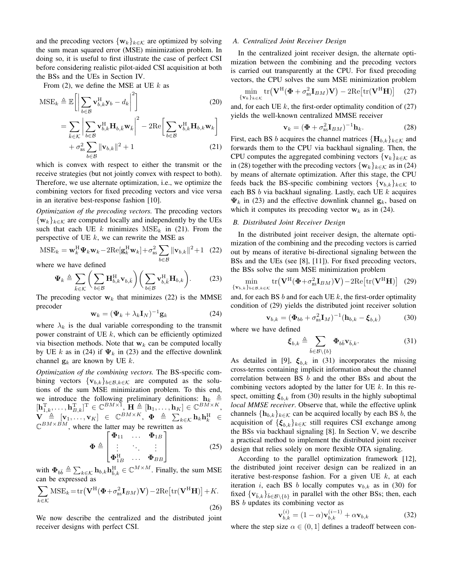and the precoding vectors  $\{w_k\}_{k \in \mathcal{K}}$  are optimized by solving the sum mean squared error (MSE) minimization problem. In doing so, it is useful to first illustrate the case of perfect CSI before considering realistic pilot-aided CSI acquisition at both the BSs and the UEs in Section IV.

From (2), we define the MSE at UE *k* as

$$
MSE_k \triangleq \mathbb{E}\left[\left|\sum_{b\in\mathcal{B}} \mathbf{v}_{b,k}^{\mathrm{H}} \mathbf{y}_b - d_k\right|^2\right]
$$
(20)  

$$
= \sum_{\bar{k}\in\mathcal{K}} \left|\sum_{b\in\mathcal{B}} \mathbf{v}_{b,k}^{\mathrm{H}} \mathbf{H}_{b,\bar{k}} \mathbf{w}_{\bar{k}}\right|^2 - 2\mathrm{Re}\left[\sum_{b\in\mathcal{B}} \mathbf{v}_{b,k}^{\mathrm{H}} \mathbf{H}_{b,k} \mathbf{w}_{k}\right]
$$

$$
+ \sigma_{\mathrm{ss}}^2 \sum_{b\in\mathcal{B}} \|\mathbf{v}_{b,k}\|^2 + 1
$$
(21)

which is convex with respect to either the transmit or the receive strategies (but not jointly convex with respect to both). Therefore, we use alternate optimization, i.e., we optimize the combining vectors for fixed precoding vectors and vice versa in an iterative best-response fashion [10].

*Optimization of the precoding vectors.* The precoding vectors  $\{w_k\}_{k \in \mathcal{K}}$  are computed locally and independently by the UEs such that each UE  $k$  minimizes  $MSE_k$  in (21). From the perspective of UE *k*, we can rewrite the MSE as

$$
\text{MSE}_k = \mathbf{w}_k^H \mathbf{\Psi}_k \mathbf{w}_k - 2\text{Re}[\mathbf{g}_k^H \mathbf{w}_k] + \sigma_{\text{BS}}^2 \sum_{b \in \mathcal{B}} ||\mathbf{v}_{b,k}||^2 + 1 \quad (22)
$$

where we have defined

$$
\Psi_k \triangleq \sum_{\bar{k} \in \mathcal{K}} \left( \sum_{b \in \mathcal{B}} \mathbf{H}_{b,k}^{\mathrm{H}} \mathbf{v}_{b,\bar{k}} \right) \left( \sum_{b \in \mathcal{B}} \mathbf{v}_{b,\bar{k}}^{\mathrm{H}} \mathbf{H}_{b,k} \right). \tag{23}
$$

The precoding vector  $w_k$  that minimizes (22) is the MMSE precoder

$$
\mathbf{w}_k = (\mathbf{\Psi}_k + \lambda_k \mathbf{I}_N)^{-1} \mathbf{g}_k \tag{24}
$$

where  $\lambda_k$  is the dual variable corresponding to the transmit power constraint of UE *k*, which can be efficiently optimized via bisection methods. Note that  $w_k$  can be computed locally by UE *k* as in (24) if  $\Psi_k$  in (23) and the effective downlink channel  $\mathbf{g}_k$  are known by UE  $k$ .

*Optimization of the combining vectors.* The BS-specific combining vectors  $\{v_{b,k}\}_{b \in \mathcal{B}, k \in \mathcal{K}}$  are computed as the solutions of the sum MSE minimization problem. To this end, we introduce the following preliminary definitions:  $h_k$  $[\mathbf{h}_{1,k}^{\mathrm{T}}, \dots, \mathbf{h}_{B,k}^{\mathrm{T}}]^{\mathrm{T}} \in \mathbb{C}^{BM \times 1}, \ \mathbf{H} \triangleq [\mathbf{h}_1, \dots, \mathbf{h}_K] \in \mathbb{C}^{BM \times K},$  $\mathbf{V} \triangleq [\mathbf{v}_1, \dots, \mathbf{v}_K] \in \mathbb{C}^{BM \times K}, \ \mathbf{\Phi} \triangleq \sum_{k \in \mathcal{K}} \mathbf{h}_k \mathbf{h}_k^{\mathrm{H}} \in$  $\mathbb{C}^{BM \times BM}$ , where the latter may be rewritten as

$$
\mathbf{\Phi} \triangleq \begin{bmatrix} \mathbf{\Phi}_{11} & \cdots & \mathbf{\Phi}_{1B} \\ \vdots & \ddots & \vdots \\ \mathbf{\Phi}_{1B}^{\mathrm{H}} & \cdots & \mathbf{\Phi}_{BB} \end{bmatrix}
$$
 (25)

with  $\Phi_{b\bar{b}} \triangleq \sum_{k \in \mathcal{K}} \mathbf{h}_{b,k} \mathbf{h}_{\bar{b},k}^{\mathrm{H}} \in \mathbb{C}^{M \times M}$ . Finally, the sum MSE can be expressed as

$$
\sum_{k \in \mathcal{K}} \text{MSE}_k = \text{tr}(\mathbf{V}^{\text{H}}(\mathbf{\Phi} + \sigma_{\text{BS}}^2 \mathbf{I}_{BM})\mathbf{V}) - 2\text{Re}[\text{tr}(\mathbf{V}^{\text{H}}\mathbf{H})] + K.
$$
\n(26)

We now describe the centralized and the distributed joint receiver designs with perfect CSI.

# *A. Centralized Joint Receiver Design*

In the centralized joint receiver design, the alternate optimization between the combining and the precoding vectors is carried out transparently at the CPU. For fixed precoding vectors, the CPU solves the sum MSE minimization problem

$$
\min_{\{\mathbf{v}_k\}_{k\in\mathcal{K}}} \text{tr}\big(\mathbf{V}^{\text{H}}(\mathbf{\Phi} + \sigma_{\text{BS}}^2 \mathbf{I}_{BM})\mathbf{V}\big) - 2\text{Re}\big[\text{tr}(\mathbf{V}^{\text{H}}\mathbf{H})\big] \quad (27)
$$

and, for each UE  $k$ , the first-order optimality condition of  $(27)$ yields the well-known centralized MMSE receiver

$$
\mathbf{v}_k = (\mathbf{\Phi} + \sigma_{\text{BS}}^2 \mathbf{I}_{BM})^{-1} \mathbf{h}_k. \tag{28}
$$

First, each BS *b* acquires the channel matrices  ${H_{b,k}}_{k \in K}$  and forwards them to the CPU via backhaul signaling. Then, the CPU computes the aggregated combining vectors  $\{v_k\}_{k \in \mathcal{K}}$  as in (28) together with the precoding vectors  $\{w_k\}_{k \in \mathcal{K}}$  as in (24) by means of alternate optimization. After this stage, the CPU feeds back the BS-specific combining vectors  ${\mathbf{v}_{b,k}}_{k \in K}$  to each BS *b* via backhaul signaling. Lastly, each UE *k* acquires  $\Psi_k$  in (23) and the effective downlink channel  $\mathbf{g}_k$ , based on which it computes its precoding vector  $w_k$  as in (24).

# *B. Distributed Joint Receiver Design*

In the distributed joint receiver design, the alternate optimization of the combining and the precoding vectors is carried out by means of iterative bi-directional signaling between the BSs and the UEs (see [8], [11]). For fixed precoding vectors, the BSs solve the sum MSE minimization problem

$$
\min_{\{\mathbf{v}_{b,k}\}_{b\in\mathcal{B},k\in\mathcal{K}}} \text{tr}\big(\mathbf{V}^{\text{H}}(\mathbf{\Phi}+\sigma_{\text{BS}}^2 \mathbf{I}_{BM})\mathbf{V}\big)-2\text{Re}\big[\text{tr}(\mathbf{V}^{\text{H}}\mathbf{H})\big]
$$
(29)

and, for each BS *b* and for each UE *k*, the first-order optimality condition of (29) yields the distributed joint receiver solution

$$
\mathbf{v}_{b,k} = (\mathbf{\Phi}_{bb} + \sigma_{\text{BS}}^2 \mathbf{I}_M)^{-1} (\mathbf{h}_{b,k} - \boldsymbol{\xi}_{b,k})
$$
(30)

where we have defined

$$
\boldsymbol{\xi}_{b,k} \triangleq \sum_{\bar{b} \in \mathcal{B} \setminus \{b\}} \boldsymbol{\Phi}_{b\bar{b}} \mathbf{v}_{\bar{b},k}.
$$
 (31)

As detailed in [9],  $\xi_{b,k}$  in (31) incorporates the missing cross-terms containing implicit information about the channel correlation between BS *b* and the other BSs and about the combining vectors adopted by the latter for UE *k*. In this respect, omitting  $\xi_{b,k}$  from (30) results in the highly suboptimal *local MMSE receiver*. Observe that, while the effective uplink channels  ${\{\mathbf{h}_{b,k}\}}_{k \in \mathcal{K}}$  can be acquired locally by each BS *b*, the acquisition of  ${\{\xi_{b,k}\}}_{k \in \mathcal{K}}$  still requires CSI exchange among the BSs via backhaul signaling [8]. In Section V, we describe a practical method to implement the distributed joint receiver design that relies solely on more flexible OTA signaling.

According to the parallel optimization framework [12], the distributed joint receiver design can be realized in an iterative best-response fashion. For a given UE *k*, at each iteration *i*, each BS *b* locally computes  $v_{b,k}$  as in (30) for fixed  ${\bf v}_{\bar{b},k}$ ,  ${\bf b}_{\bar{b} \in \mathcal{B} \setminus \{b\}}$  in parallel with the other BSs; then, each BS *b* updates its combining vector as

$$
\mathbf{v}_{b,k}^{(i)} = (1 - \alpha)\mathbf{v}_{b,k}^{(i-1)} + \alpha \mathbf{v}_{b,k}
$$
 (32)

where the step size  $\alpha \in (0, 1]$  defines a tradeoff between con-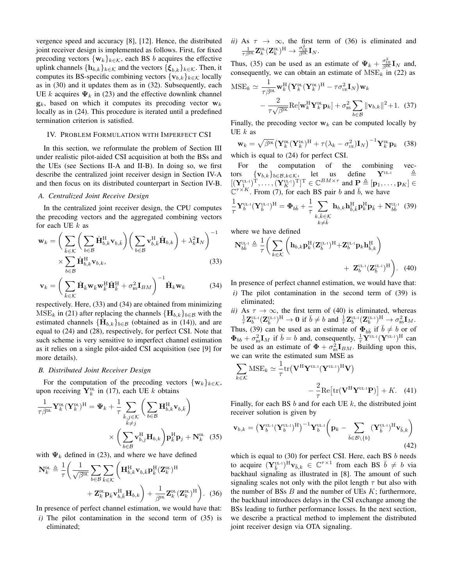vergence speed and accuracy [8], [12]. Hence, the distributed joint receiver design is implemented as follows. First, for fixed precoding vectors  $\{w_k\}_{k \in \mathcal{K}}$ , each BS *b* acquires the effective uplink channels  ${\{\mathbf{h}_{b,k}\}}_{k \in \mathcal{K}}$  and the vectors  ${\{\boldsymbol{\xi}_{b,k}\}}_{k \in \mathcal{K}}$ . Then, it computes its BS-specific combining vectors  ${\mathbf{v}_{b,k}}_{k \in K}$  locally as in (30) and it updates them as in (32). Subsequently, each UE *k* acquires  $\Psi_k$  in (23) and the effective downlink channel  $\mathbf{g}_k$ , based on which it computes its precoding vector  $\mathbf{w}_k$ locally as in (24). This procedure is iterated until a predefined termination criterion is satisfied.

## IV. PROBLEM FORMULATION WITH IMPERFECT CSI

In this section, we reformulate the problem of Section III under realistic pilot-aided CSI acquisition at both the BSs and the UEs (see Sections II-A and II-B). In doing so, we first describe the centralized joint receiver design in Section IV-A and then focus on its distributed counterpart in Section IV-B.

#### *A. Centralized Joint Receive Design*

In the centralized joint receiver design, the CPU computes the precoding vectors and the aggregated combining vectors for each UE *k* as

$$
\mathbf{w}_{k} = \left(\sum_{\bar{k} \in \mathcal{K}} \left(\sum_{b \in \mathcal{B}} \hat{\mathbf{H}}_{b,k}^{H} \mathbf{v}_{b,\bar{k}}\right) \left(\sum_{b \in \mathcal{B}} \mathbf{v}_{b,\bar{k}}^{H} \hat{\mathbf{H}}_{b,k}\right) + \lambda_{k}^{2} \mathbf{I}_{N}\right)^{-1} \times \sum_{b \in \mathcal{B}} \hat{\mathbf{H}}_{b,k}^{H} \mathbf{v}_{b,k},
$$
\n(33)

$$
\mathbf{v}_k = \left(\sum_{\bar{k}\in\mathcal{K}} \hat{\mathbf{H}}_{\bar{k}} \mathbf{w}_{\bar{k}} \mathbf{w}_{\bar{k}}^{\mathrm{H}} \hat{\mathbf{H}}_{\bar{k}}^{\mathrm{H}} + \sigma_{\mathrm{BS}}^2 \mathbf{I}_{BM}\right)^{-1} \hat{\mathbf{H}}_{k} \mathbf{w}_k
$$
(34)

respectively. Here, (33) and (34) are obtained from minimizing  $MSE_k$  in (21) after replacing the channels  ${H_{b,k}}_{b \in \mathcal{B}}$  with the estimated channels  $\{\hat{\mathbf{H}}_{b,k}\}_{b \in \mathcal{B}}$  (obtained as in (14)), and are equal to (24) and (28), respectively, for perfect CSI. Note that such scheme is very sensitive to imperfect channel estimation as it relies on a single pilot-aided CSI acquisition (see [9] for more details).

# *B. Distributed Joint Receiver Design*

For the computation of the precoding vectors  $\{w_k\}_{k \in \mathcal{K}}$ , upon receiving  $\mathbf{Y}_k^{\text{DL}}$  in (17), each UE *k* obtains

$$
\frac{1}{\tau \beta^{\text{DL}}} \mathbf{Y}_{k}^{\text{DL}} (\mathbf{Y}_{k}^{\text{DL}})^{\text{H}} = \Psi_{k} + \frac{1}{\tau} \sum_{\substack{\bar{k}, j \in \mathcal{K} \\ \bar{k} \neq j}} \left( \sum_{b \in \mathcal{B}} \mathbf{H}_{b,k}^{\text{H}} \mathbf{v}_{b,\bar{k}} \right) \times \left( \sum_{b \in \mathcal{B}} \mathbf{v}_{b,j}^{\text{H}} \mathbf{H}_{b,k} \right) \mathbf{p}_{\bar{k}}^{\text{H}} \mathbf{p}_{j} + \mathbf{N}_{k}^{\text{DL}} \quad (35)
$$

with  $\Psi_k$  defined in (23), and where we have defined

$$
\mathbf{N}_{k}^{\text{DL}} \triangleq \frac{1}{\tau} \left( \frac{1}{\sqrt{\beta^{\text{DL}}} \sum_{b \in \mathcal{B}} \sum_{\bar{k} \in \mathcal{K}} \left( \mathbf{H}_{b,k}^{\text{H}} \mathbf{v}_{b,\bar{k}} \mathbf{p}_{\bar{k}}^{\text{H}} (\mathbf{Z}_{k}^{\text{DL}})^{\text{H}} + \mathbf{Z}_{k}^{\text{DL}} \mathbf{p}_{\bar{k}} \mathbf{v}_{b,\bar{k}}^{\text{H}} \mathbf{H}_{b,k} \right) + \frac{1}{\beta^{\text{DL}}} \mathbf{Z}_{k}^{\text{DL}} (\mathbf{Z}_{k}^{\text{DL}})^{\text{H}} \right). (36)
$$

In presence of perfect channel estimation, we would have that:

*i)* The pilot contamination in the second term of (35) is eliminated;

*ii*) As  $\tau \to \infty$ , the first term of (36) is eliminated and  $\frac{1}{\tau \beta^\mathrm{DL}} \mathbf{Z}^\mathrm{DL}_k(\mathbf{Z}^\mathrm{DL}_k)^\mathrm{H} \to \frac{\sigma_\mathrm{UE}^2}{\beta^\mathrm{DL}} \mathbf{I}_N.$ 

Thus, (35) can be used as an estimate of  $\Psi_k + \frac{\sigma_{UE}^2}{\beta^{DL}} \mathbf{I}_N$  and, consequently, we can obtain an estimate of  $MSE<sub>k</sub>$  in (22) as

$$
\text{MSE}_{k} \simeq \frac{1}{\tau \beta^{\text{DL}}} \mathbf{w}_{k}^{\text{H}} \left( \mathbf{Y}_{k}^{\text{DL}} (\mathbf{Y}_{k}^{\text{DL}})^{\text{H}} - \tau \sigma_{\text{UE}}^{2} \mathbf{I}_{N} \right) \mathbf{w}_{k} - \frac{2}{\tau \sqrt{\beta^{\text{DL}}}} \text{Re}[\mathbf{w}_{k}^{\text{H}} \mathbf{Y}_{k}^{\text{DL}} \mathbf{p}_{k}] + \sigma_{\text{BS}}^{2} \sum_{b \in \mathcal{B}} ||\mathbf{v}_{b,k}||^{2} + 1. \quad (37)
$$

Finally, the precoding vector  $w_k$  can be computed locally by UE *k* as

$$
\mathbf{w}_{k} = \sqrt{\beta^{\text{DL}}} \left( \mathbf{Y}_{k}^{\text{DL}} (\mathbf{Y}_{k}^{\text{DL}})^{\text{H}} + \tau (\lambda_{k} - \sigma_{\text{UE}}^{2}) \mathbf{I}_{N} \right)^{-1} \mathbf{Y}_{k}^{\text{DL}} \mathbf{p}_{k} \quad (38)
$$

which is equal to (24) for perfect CSI.

For the computation of the combining vec-<br>rs  $\{v_{h,k}\}_{h\in\mathcal{B}}$   $k\in\mathcal{K}$ , let us define  $\mathbf{Y}^{\text{UL-1}}$   $\triangleq$ tors  $\{v_{b,k}\}_{b \in \mathcal{B}, k \in \mathcal{K}}$ , let us define  $Y$ <sup>UL-1</sup>  $\triangleq$  $[(\mathbf{Y}_{1}^{\text{UL-1}})^{\text{T}}, \dots, (\mathbf{Y}_{K}^{\text{UL-1}})^{\text{T}}]^{\text{T}} \in \mathbb{C}^{BM \times \tau}$  and  $\mathbf{P} \triangleq [\mathbf{p}_1, \dots, \mathbf{p}_K] \in$  $\mathbb{C}^{\tau \times K}$ . From (7), for each BS pair *b* and  $\bar{b}$ , we have

$$
\frac{1}{\tau}\mathbf{Y}_{b}^{\text{UL-1}}(\mathbf{Y}_{\bar{b}}^{\text{UL-1}})^{\text{H}} = \mathbf{\Phi}_{b\bar{b}} + \frac{1}{\tau}\sum_{\substack{k,\bar{k}\in\mathcal{K}\\k\neq\bar{k}}} \mathbf{h}_{b,k} \mathbf{h}_{\bar{b},\bar{k}}^{\text{H}} \mathbf{p}_{k}^{\text{H}} \mathbf{p}_{\bar{k}} + \mathbf{N}_{b\bar{b}}^{\text{UL-1}} \tag{39}
$$

where we have defined

$$
\mathbf{N}_{bb}^{\text{UL-1}} \triangleq \frac{1}{\tau} \bigg( \sum_{k \in \mathcal{K}} \bigg( \mathbf{h}_{b,k} \mathbf{p}_{k}^{\text{H}} (\mathbf{Z}_{\bar{b}}^{\text{UL-1}})^{\text{H}} + \mathbf{Z}_{b}^{\text{UL-1}} \mathbf{p}_{k} \mathbf{h}_{\bar{b},k}^{\text{H}} \bigg) + \mathbf{Z}_{b}^{\text{UL-1}} (\mathbf{Z}_{\bar{b}}^{\text{UL-1}})^{\text{H}} \bigg). \tag{40}
$$

In presence of perfect channel estimation, we would have that:

*i)* The pilot contamination in the second term of (39) is eliminated;

*ii*) As  $\tau \to \infty$ , the first term of (40) is eliminated, whereas  $\frac{1}{\tau}\mathbf{Z}_{b}^{\text{UL-1}}(\mathbf{Z}_{\bar{b}}^{\text{UL-1}})^{\text{H}} \to \mathbf{0} \text{ if } \bar{b} \neq b \text{ and } \frac{1}{\tau}\mathbf{Z}_{b}^{\text{UL-1}}(\mathbf{Z}_{b}^{\text{UL-1}})^{\text{H}} \to \sigma_{\text{BS}}^{2}\mathbf{I}_{M}.$ Thus, (39) can be used as an estimate of  $\Phi_{b\bar{b}}$  if  $\bar{b} \neq b$  or of  $\Phi_{bb} + \sigma_{\text{ss}}^2 \mathbf{I}_M$  if  $\bar{b} = b$  and, consequently,  $\frac{1}{\tau} \mathbf{Y}^{\text{UL-1}} (\mathbf{Y}^{\text{UL-1}})^{\text{H}}$  can be used as an estimate of  $\Phi + \sigma_{\text{ss}}^2 \mathbf{I}_{BM}$ . Building upon this, we can write the estimated sum MSE as

$$
\sum_{k \in \mathcal{K}} \text{MSE}_k \simeq \frac{1}{\tau} \text{tr} \left( \mathbf{V}^{\text{H}} \mathbf{Y}^{\text{UL-1}} (\mathbf{Y}^{\text{UL-1}})^{\text{H}} \mathbf{V} \right) -\frac{2}{\tau} \text{Re} \left[ \text{tr} (\mathbf{V}^{\text{H}} \mathbf{Y}^{\text{UL-1}} \mathbf{P}) \right] + K. \quad (41)
$$

Finally, for each BS *b* and for each UE *k*, the distributed joint receiver solution is given by

$$
\mathbf{v}_{b,k} = \left(\mathbf{Y}_{b}^{\text{UL-1}}(\mathbf{Y}_{b}^{\text{UL-1}})^{\text{H}}\right)^{-1} \mathbf{Y}_{b}^{\text{UL-1}} \left(\mathbf{p}_{k} - \sum_{\bar{b} \in \mathcal{B} \setminus \{b\}} (\mathbf{Y}_{\bar{b}}^{\text{UL-1}})^{\text{H}} \mathbf{v}_{\bar{b},k}\right)
$$
\n(42)

which is equal to (30) for perfect CSI. Here, each BS *b* needs to acquire  $(\mathbf{Y}_{\bar{b}}^{\text{UL-1}})^{\text{H}} \mathbf{v}_{\bar{b},k} \in \mathbb{C}^{\tau \times 1}$  from each BS  $\bar{b} \neq b$  via backhaul signaling as illustrated in [8]. The amount of such signaling scales not only with the pilot length *τ* but also with the number of BSs *B* and the number of UEs *K*; furthermore, the backhaul introduces delays in the CSI exchange among the BSs leading to further performance losses. In the next section, we describe a practical method to implement the distributed joint receiver design via OTA signaling.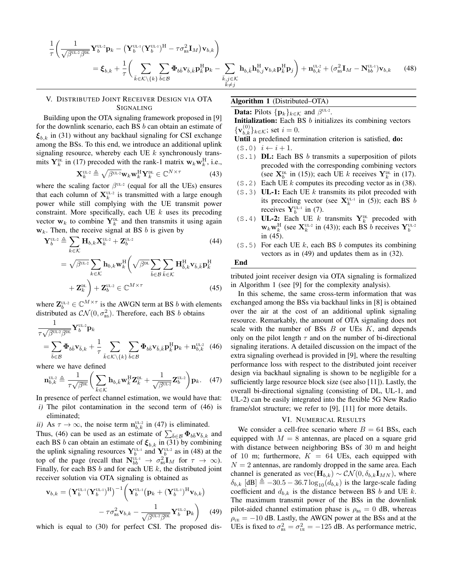$$
\frac{1}{\tau} \left( \frac{1}{\sqrt{\beta^{UL^2} \beta^{DL}}} \mathbf{Y}_{b}^{UL^2} \mathbf{p}_{k} - \left( \mathbf{Y}_{b}^{UL^1} (\mathbf{Y}_{b}^{UL^1})^H - \tau \sigma_{BS}^2 \mathbf{I}_{M} \right) \mathbf{v}_{b,k} \right) \n= \xi_{b,k} + \frac{1}{\tau} \left( \sum_{\bar{k} \in \mathcal{K} \backslash \{k\}} \sum_{\bar{b} \in \mathcal{B}} \boldsymbol{\Phi}_{b\bar{b}} \mathbf{v}_{\bar{b},\bar{k}} \mathbf{p}_{\bar{k}}^H \mathbf{p}_{k} - \sum_{\substack{\bar{k},j \in \mathcal{K} \\ k \neq j}} \mathbf{h}_{b,\bar{k}} \mathbf{h}_{b,j}^H \mathbf{v}_{b,k} \mathbf{p}_{\bar{k}}^H \mathbf{p}_{j} \right) + \mathbf{n}_{b,k}^{UL^2} + (\sigma_{BS}^2 \mathbf{I}_{M} - \mathbf{N}_{bb}^{UL^1}) \mathbf{v}_{b,k}
$$
\n(48)

# V. DISTRIBUTED JOINT RECEIVER DESIGN VIA OTA SIGNALING

Building upon the OTA signaling framework proposed in [9] for the downlink scenario, each BS *b* can obtain an estimate of *ξb,k* in (31) without any backhaul signaling for CSI exchange among the BSs. To this end, we introduce an additional uplink signaling resource, whereby each UE *k* synchronously transmits  $\mathbf{Y}_k^{\text{DL}}$  in (17) precoded with the rank-1 matrix  $\mathbf{w}_k \mathbf{w}_k^{\text{H}}$ , i.e.,

$$
\mathbf{X}_{k}^{\mathrm{UL2}} \triangleq \sqrt{\beta^{\mathrm{UL2}}} \mathbf{w}_{k} \mathbf{w}_{k}^{\mathrm{H}} \mathbf{Y}_{k}^{\mathrm{DL}} \in \mathbb{C}^{N \times \tau}
$$
(43)

where the scaling factor  $\beta^{UL-2}$  (equal for all the UEs) ensures that each column of  $X_k^{\text{UL-2}}$  is transmitted with a large enough power while still complying with the UE transmit power constraint. More specifically, each UE *k* uses its precoding vector  $w_k$  to combine  $Y_k^{\text{DL}}$  and then transmits it using again  $w_k$ . Then, the receive signal at BS *b* is given by

$$
\mathbf{Y}_{b}^{\text{UL-2}} \triangleq \sum_{k \in \mathcal{K}} \mathbf{H}_{b,k} \mathbf{X}_{k}^{\text{UL-2}} + \mathbf{Z}_{b}^{\text{UL-2}} \tag{44}
$$

$$
= \sqrt{\beta^{UL-2}} \sum_{k \in \mathcal{K}} \mathbf{h}_{b,k} \mathbf{w}_k^H \left( \sqrt{\beta^{DL}} \sum_{\bar{b} \in \mathcal{B}} \sum_{\bar{k} \in \mathcal{K}} \mathbf{H}_{\bar{b},k}^H \mathbf{v}_{\bar{b},\bar{k}} \mathbf{p}_{\bar{k}}^H \right. \\
\left. + \mathbf{Z}_k^{DL} \right) + \mathbf{Z}_b^{UL-2} \in \mathbb{C}^{M \times \tau}
$$
\n(45)

where  $\mathbf{Z}_{b}^{\text{UL-2}} \in \mathbb{C}^{M \times \tau}$  is the AWGN term at BS *b* with elements distributed as  $\mathcal{CN}(0, \sigma_{\text{\tiny{BS}}}^2)$ . Therefore, each BS *b* obtains

$$
\frac{1}{\tau\sqrt{\beta^{\text{UL-2}}\beta^{\text{DL}}}}\mathbf{Y}_{b}^{\text{UL-2}}\mathbf{p}_{k}
$$
\n
$$
= \sum_{\bar{b}\in\mathcal{B}} \boldsymbol{\Phi}_{b\bar{b}}\mathbf{v}_{\bar{b},k} + \frac{1}{\tau} \sum_{\bar{k}\in\mathcal{K}\backslash\{k\}} \sum_{\bar{b}\in\mathcal{B}} \boldsymbol{\Phi}_{b\bar{b}}\mathbf{v}_{\bar{b},\bar{k}}\mathbf{p}_{\bar{k}}^{\text{H}}\mathbf{p}_{k} + \mathbf{n}_{b,k}^{\text{UL-2}} \tag{46}
$$

where we have defined

$$
\mathbf{n}_{b,k}^{\text{UL-2}} \triangleq \frac{1}{\tau \sqrt{\beta^{\text{DL}}}} \left( \sum_{\bar{k} \in \mathcal{K}} \mathbf{h}_{b,\bar{k}} \mathbf{w}_{\bar{k}}^{\text{H}} \mathbf{Z}_{\bar{k}}^{\text{DL}} + \frac{1}{\sqrt{\beta^{\text{UL-2}}}} \mathbf{Z}_{b}^{\text{UL-2}} \right) \mathbf{p}_{k}.
$$
 (47)

In presence of perfect channel estimation, we would have that:

- *i)* The pilot contamination in the second term of (46) is eliminated;
- *ii*) As  $\tau \to \infty$ , the noise term  $\mathbf{n}_{b,k}^{\text{UL-2}}$  in (47) is eliminated.

Thus, (46) can be used as an estimate of  $\sum_{\bar{b} \in \mathcal{B}} \Phi_{b\bar{b}} \mathbf{v}_{\bar{b},k}$  and each BS *b* can obtain an estimate of  $\xi_{b,k}$  in (31) by combining the uplink signaling resources  $\mathbf{Y}_{b}^{\text{UL-1}}$  and  $\mathbf{Y}_{b}^{\text{UL-2}}$  as in (48) at the top of the page (recall that  $N_{bb}^{\text{UL-1}} \rightarrow \sigma_{\text{BS}}^2 \mathbf{I}_M$  for  $\tau \rightarrow \infty$ ). Finally, for each BS *b* and for each UE *k*, the distributed joint receiver solution via OTA signaling is obtained as

$$
\mathbf{v}_{b,k} = \left(\mathbf{Y}_b^{\text{UL-1}}(\mathbf{Y}_b^{\text{UL-1}})^{\text{H}}\right)^{-1} \left(\mathbf{Y}_b^{\text{UL-1}}(\mathbf{p}_k + (\mathbf{Y}_b^{\text{UL-1}})^{\text{H}} \mathbf{v}_{b,k}) - \tau \sigma_{\text{BS}}^2 \mathbf{v}_{b,k} - \frac{1}{\sqrt{\beta^{\text{UL-2}} \beta^{\text{DL}}}} \mathbf{Y}_b^{\text{UL-2}} \mathbf{p}_k\right) \tag{49}
$$

which is equal to (30) for perfect CSI. The proposed dis-

#### Algorithm 1 (Distributed–OTA)

**Data:** Pilots  $\{p_k\}_{k \in \mathcal{K}}$  and  $\beta^{\text{UL-2}}$ .

Initialization: Each BS *b* initializes its combining vectors  ${\mathbf v}_{b,k}^{(0)}\}_{{k∈K}}$ ; set *i* = 0.

Until a predefined termination criterion is satisfied, do:

- $($ S.0)  $i$  ←  $i + 1$ .
- (S.1) DL: Each BS *b* transmits a superposition of pilots precoded with the corresponding combining vectors (see  $X_b^{\text{DL}}$  in (15)); each UE *k* receives  $Y_k^{\text{DL}}$  in (17).
- (S.2) Each UE *k* computes its precoding vector as in (38).
- (S.3) UL-1: Each UE *k* transmits its pilot precoded with its precoding vector (see  $X_k^{\text{UL-1}}$  in (5)); each BS *b* receives  $\mathbf{Y}_{b}^{\text{UL-1}}$  in (7).
- (S.4) UL-2: Each UE *k* transmits  $Y_k^{\text{DL}}$  precoded with  $w_k w_k^H$  (see  $\mathbf{X}_k^{\text{UL-2}}$  in (43)); each BS *b* receives  $\mathbf{Y}_b^{\text{UL-2}}$ in (45).
- $(S, 5)$  For each UE k, each BS b computes its combining vectors as in (49) and updates them as in (32).

#### End

tributed joint receiver design via OTA signaling is formalized in Algorithm 1 (see [9] for the complexity analysis).

In this scheme, the same cross-term information that was exchanged among the BSs via backhaul links in [8] is obtained over the air at the cost of an additional uplink signaling resource. Remarkably, the amount of OTA signaling does not scale with the number of BSs *B* or UEs *K*, and depends only on the pilot length  $\tau$  and on the number of bi-directional signaling iterations. A detailed discussion on the impact of the extra signaling overhead is provided in [9], where the resulting performance loss with respect to the distributed joint receiver design via backhaul signaling is shown to be negligible for a sufficiently large resource block size (see also [11]). Lastly, the overall bi-directional signaling (consisting of DL, UL-1, and UL-2) can be easily integrated into the flexible 5G New Radio frame/slot structure; we refer to [9], [11] for more details.

#### VI. NUMERICAL RESULTS

We consider a cell-free scenario where  $B = 64$  BSs, each equipped with  $M = 8$  antennas, are placed on a square grid with distance between neighboring BSs of 30 m and height of 10 m; furthermore,  $K = 64$  UEs, each equipped with  $N = 2$  antennas, are randomly dropped in the same area. Each channel is generated as  $\text{vec}(\mathbf{H}_{b,k}) \sim \mathcal{CN}(0, \delta_{b,k} \mathbf{I}_{MN})$ , where  $\delta_{b,k}$  [dB]  $\triangleq -30.5 - 36.7 \log_{10}(d_{b,k})$  is the large-scale fading coefficient and  $d_{b,k}$  is the distance between BS  $b$  and UE  $k$ . The maximum transmit power of the BSs in the downlink pilot-aided channel estimation phase is  $\rho_{\text{BS}} = 0$  dB, whereas  $\rho_{UE} = -10$  dB. Lastly, the AWGN power at the BSs and at the UEs is fixed to  $\sigma_{\text{BS}}^2 = \sigma_{\text{UE}}^2 = -125$  dB. As performance metric,